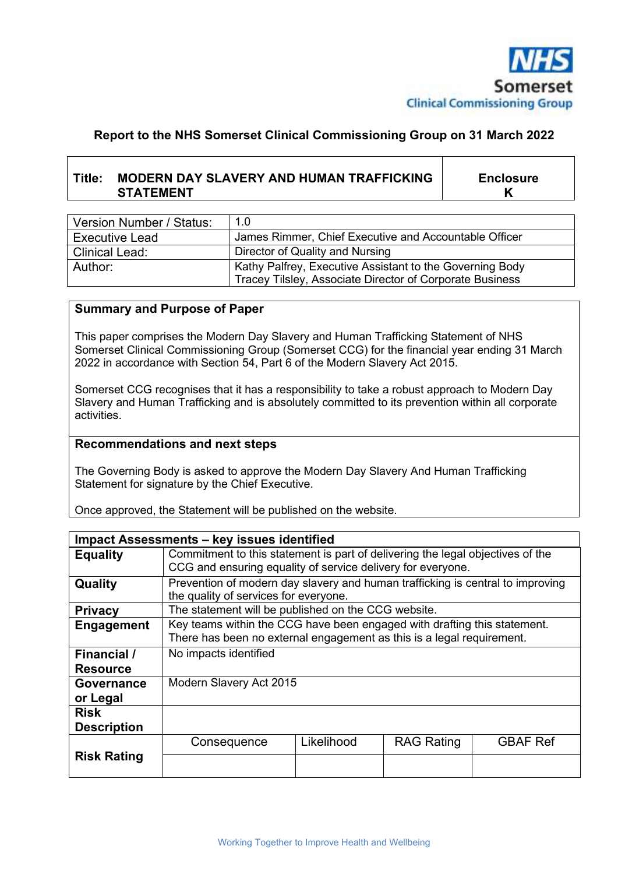

## **Report to the NHS Somerset Clinical Commissioning Group on 31 March 2022**

# **Title: MODERN DAY SLAVERY AND HUMAN TRAFFICKING STATEMENT**

**Enclosure K**

| Version Number / Status: | 1.0                                                      |
|--------------------------|----------------------------------------------------------|
| <b>Executive Lead</b>    | James Rimmer, Chief Executive and Accountable Officer    |
| Clinical Lead:           | Director of Quality and Nursing                          |
| Author:                  | Kathy Palfrey, Executive Assistant to the Governing Body |
|                          | Tracey Tilsley, Associate Director of Corporate Business |

#### **Summary and Purpose of Paper**

This paper comprises the Modern Day Slavery and Human Trafficking Statement of NHS Somerset Clinical Commissioning Group (Somerset CCG) for the financial year ending 31 March 2022 in accordance with Section 54, Part 6 of the Modern Slavery Act 2015.

Somerset CCG recognises that it has a responsibility to take a robust approach to Modern Day Slavery and Human Trafficking and is absolutely committed to its prevention within all corporate activities.

#### **Recommendations and next steps**

The Governing Body is asked to approve the Modern Day Slavery And Human Trafficking Statement for signature by the Chief Executive.

Once approved, the Statement will be published on the website.

| Impact Assessments - key issues identified |                                                                                                                                                   |            |                   |                 |  |  |
|--------------------------------------------|---------------------------------------------------------------------------------------------------------------------------------------------------|------------|-------------------|-----------------|--|--|
| <b>Equality</b>                            | Commitment to this statement is part of delivering the legal objectives of the<br>CCG and ensuring equality of service delivery for everyone.     |            |                   |                 |  |  |
| Quality                                    | Prevention of modern day slavery and human trafficking is central to improving<br>the quality of services for everyone.                           |            |                   |                 |  |  |
| <b>Privacy</b>                             | The statement will be published on the CCG website.                                                                                               |            |                   |                 |  |  |
| Engagement                                 | Key teams within the CCG have been engaged with drafting this statement.<br>There has been no external engagement as this is a legal requirement. |            |                   |                 |  |  |
| Financial /<br><b>Resource</b>             | No impacts identified                                                                                                                             |            |                   |                 |  |  |
| <b>Governance</b><br>or Legal              | Modern Slavery Act 2015                                                                                                                           |            |                   |                 |  |  |
| <b>Risk</b><br><b>Description</b>          |                                                                                                                                                   |            |                   |                 |  |  |
|                                            | Consequence                                                                                                                                       | Likelihood | <b>RAG Rating</b> | <b>GBAF Ref</b> |  |  |
| <b>Risk Rating</b>                         |                                                                                                                                                   |            |                   |                 |  |  |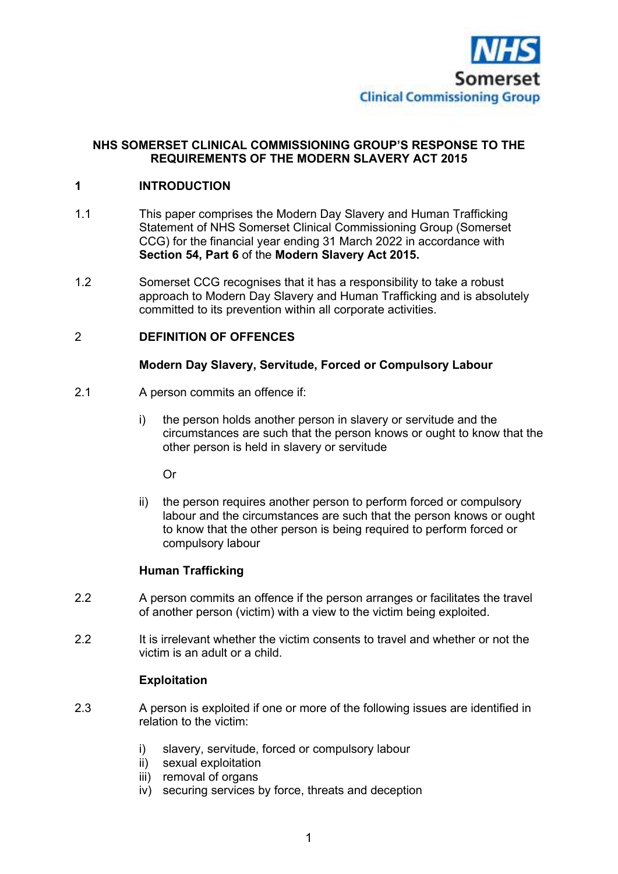

### **NHS SOMERSET CLINICAL COMMISSIONING GROUP'S RESPONSE TO THE REQUIREMENTS OF THE MODERN SLAVERY ACT 2015**

### **1 INTRODUCTION**

- 1.1 This paper comprises the Modern Day Slavery and Human Trafficking Statement of NHS Somerset Clinical Commissioning Group (Somerset CCG) for the financial year ending 31 March 2022 in accordance with **Section 54, Part 6** of the **Modern Slavery Act 2015.**
- 1.2 Somerset CCG recognises that it has a responsibility to take a robust approach to Modern Day Slavery and Human Trafficking and is absolutely committed to its prevention within all corporate activities.

#### 2 **DEFINITION OF OFFENCES**

#### **Modern Day Slavery, Servitude, Forced or Compulsory Labour**

- 2.1 A person commits an offence if:
	- i) the person holds another person in slavery or servitude and the circumstances are such that the person knows or ought to know that the other person is held in slavery or servitude

Or

 ii) the person requires another person to perform forced or compulsory labour and the circumstances are such that the person knows or ought to know that the other person is being required to perform forced or compulsory labour

#### **Human Trafficking**

- 2.2 A person commits an offence if the person arranges or facilitates the travel of another person (victim) with a view to the victim being exploited.
- 2.2 It is irrelevant whether the victim consents to travel and whether or not the victim is an adult or a child.

#### **Exploitation**

- 2.3 A person is exploited if one or more of the following issues are identified in relation to the victim:
	- i) slavery, servitude, forced or compulsory labour
	- ii) sexual exploitation
	- iii) removal of organs
	- iv) securing services by force, threats and deception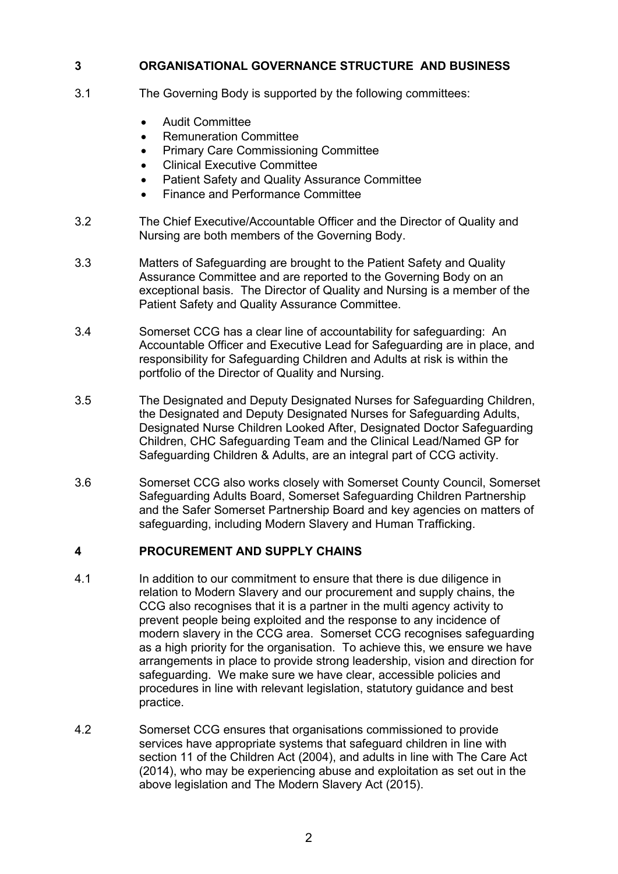## **3 ORGANISATIONAL GOVERNANCE STRUCTURE AND BUSINESS**

- 3.1 The Governing Body is supported by the following committees:
	- Audit Committee
	- Remuneration Committee
	- Primary Care Commissioning Committee
	- Clinical Executive Committee
	- Patient Safety and Quality Assurance Committee
	- Finance and Performance Committee
- 3.2 The Chief Executive/Accountable Officer and the Director of Quality and Nursing are both members of the Governing Body.
- 3.3 Matters of Safeguarding are brought to the Patient Safety and Quality Assurance Committee and are reported to the Governing Body on an exceptional basis. The Director of Quality and Nursing is a member of the Patient Safety and Quality Assurance Committee.
- 3.4 Somerset CCG has a clear line of accountability for safeguarding: An Accountable Officer and Executive Lead for Safeguarding are in place, and responsibility for Safeguarding Children and Adults at risk is within the portfolio of the Director of Quality and Nursing.
- 3.5 The Designated and Deputy Designated Nurses for Safeguarding Children, the Designated and Deputy Designated Nurses for Safeguarding Adults, Designated Nurse Children Looked After, Designated Doctor Safeguarding Children, CHC Safeguarding Team and the Clinical Lead/Named GP for Safeguarding Children & Adults, are an integral part of CCG activity.
- 3.6 Somerset CCG also works closely with Somerset County Council, Somerset Safeguarding Adults Board, Somerset Safeguarding Children Partnership and the Safer Somerset Partnership Board and key agencies on matters of safeguarding, including Modern Slavery and Human Trafficking.

### **4 PROCUREMENT AND SUPPLY CHAINS**

- 4.1 In addition to our commitment to ensure that there is due diligence in relation to Modern Slavery and our procurement and supply chains, the CCG also recognises that it is a partner in the multi agency activity to prevent people being exploited and the response to any incidence of modern slavery in the CCG area. Somerset CCG recognises safeguarding as a high priority for the organisation. To achieve this, we ensure we have arrangements in place to provide strong leadership, vision and direction for safeguarding. We make sure we have clear, accessible policies and procedures in line with relevant legislation, statutory guidance and best practice.
- 4.2 Somerset CCG ensures that organisations commissioned to provide services have appropriate systems that safeguard children in line with section 11 of the Children Act (2004), and adults in line with The Care Act (2014), who may be experiencing abuse and exploitation as set out in the above legislation and The Modern Slavery Act (2015).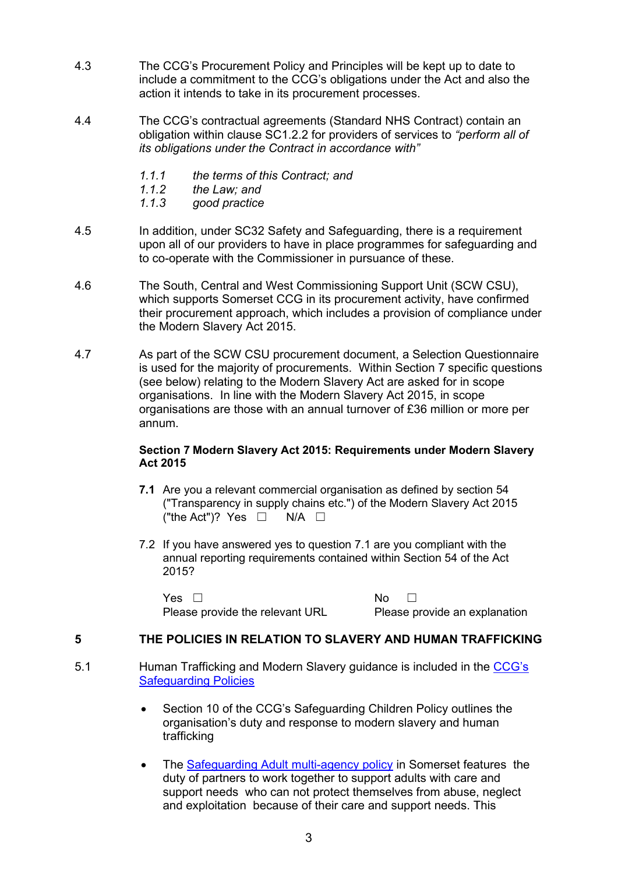- 4.3 The CCG's Procurement Policy and Principles will be kept up to date to include a commitment to the CCG's obligations under the Act and also the action it intends to take in its procurement processes.
- 4.4 The CCG's contractual agreements (Standard NHS Contract) contain an obligation within clause SC1.2.2 for providers of services to *"perform all of its obligations under the Contract in accordance with"*
	- *1.1.1 the terms of this Contract; and*
	- *1.1.2 the Law; and*
	- *1.1.3 good practice*
- 4.5 In addition, under SC32 Safety and Safeguarding, there is a requirement upon all of our providers to have in place programmes for safeguarding and to co-operate with the Commissioner in pursuance of these.
- 4.6 The South, Central and West Commissioning Support Unit (SCW CSU), which supports Somerset CCG in its procurement activity, have confirmed their procurement approach, which includes a provision of compliance under the Modern Slavery Act 2015.
- 4.7 As part of the SCW CSU procurement document, a Selection Questionnaire is used for the majority of procurements. Within Section 7 specific questions (see below) relating to the Modern Slavery Act are asked for in scope organisations. In line with the Modern Slavery Act 2015, in scope organisations are those with an annual turnover of £36 million or more per annum.

#### **Section 7 Modern Slavery Act 2015: Requirements under Modern Slavery Act 2015**

- **7.1** Are you a relevant commercial organisation as defined by section 54 ("Transparency in supply chains etc.") of the Modern Slavery Act 2015 ("the Act")? Yes  $\Box$  N/A  $\Box$
- 7.2 If you have answered yes to question 7.1 are you compliant with the annual reporting requirements contained within Section 54 of the Act 2015?

 $Yes \Box$ Please provide the relevant URL Please provide an explanation

## **5 THE POLICIES IN RELATION TO SLAVERY AND HUMAN TRAFFICKING**

- 5.1 Human Trafficking and Modern Slavery guidance is included in the CCG's Safeguarding Policies
	- Section 10 of the CCG's Safeguarding Children Policy outlines the organisation's duty and response to modern slavery and human trafficking
	- The Safeguarding Adult multi-agency policy in Somerset features the duty of partners to work together to support adults with care and support needs who can not protect themselves from abuse, neglect and exploitation because of their care and support needs. This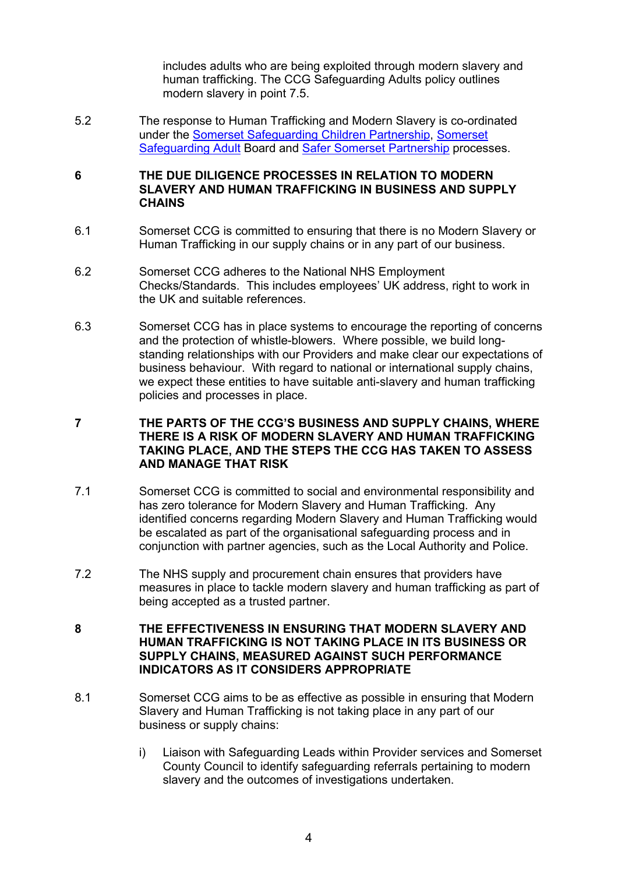includes adults who are being exploited through modern slavery and human trafficking. The CCG Safeguarding Adults policy outlines modern slavery in point 7.5.

5.2 The response to Human Trafficking and Modern Slavery is co-ordinated under the Somerset Safeguarding Children Partnership, Somerset Safeguarding Adult Board and Safer Somerset Partnership processes.

#### **6 THE DUE DILIGENCE PROCESSES IN RELATION TO MODERN SLAVERY AND HUMAN TRAFFICKING IN BUSINESS AND SUPPLY CHAINS**

- 6.1 Somerset CCG is committed to ensuring that there is no Modern Slavery or Human Trafficking in our supply chains or in any part of our business.
- 6.2 Somerset CCG adheres to the National NHS Employment Checks/Standards. This includes employees' UK address, right to work in the UK and suitable references.
- 6.3 Somerset CCG has in place systems to encourage the reporting of concerns and the protection of whistle-blowers. Where possible, we build longstanding relationships with our Providers and make clear our expectations of business behaviour. With regard to national or international supply chains, we expect these entities to have suitable anti-slavery and human trafficking policies and processes in place.

#### **7 THE PARTS OF THE CCG'S BUSINESS AND SUPPLY CHAINS, WHERE THERE IS A RISK OF MODERN SLAVERY AND HUMAN TRAFFICKING TAKING PLACE, AND THE STEPS THE CCG HAS TAKEN TO ASSESS AND MANAGE THAT RISK**

- 7.1 Somerset CCG is committed to social and environmental responsibility and has zero tolerance for Modern Slavery and Human Trafficking. Any identified concerns regarding Modern Slavery and Human Trafficking would be escalated as part of the organisational safeguarding process and in conjunction with partner agencies, such as the Local Authority and Police.
- 7.2 The NHS supply and procurement chain ensures that providers have measures in place to tackle modern slavery and human trafficking as part of being accepted as a trusted partner.

#### **8 THE EFFECTIVENESS IN ENSURING THAT MODERN SLAVERY AND HUMAN TRAFFICKING IS NOT TAKING PLACE IN ITS BUSINESS OR SUPPLY CHAINS, MEASURED AGAINST SUCH PERFORMANCE INDICATORS AS IT CONSIDERS APPROPRIATE**

- 8.1 Somerset CCG aims to be as effective as possible in ensuring that Modern Slavery and Human Trafficking is not taking place in any part of our business or supply chains:
	- i) Liaison with Safeguarding Leads within Provider services and Somerset County Council to identify safeguarding referrals pertaining to modern slavery and the outcomes of investigations undertaken.